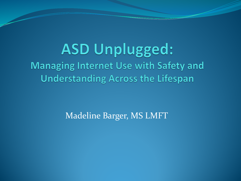**ASD Unplugged: Managing Internet Use with Safety and Understanding Across the Lifespan** 

Madeline Barger, MS LMFT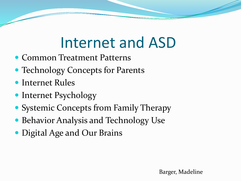# Internet and ASD

- Common Treatment Patterns
- Technology Concepts for Parents
- Internet Rules
- Internet Psychology
- Systemic Concepts from Family Therapy
- Behavior Analysis and Technology Use
- Digital Age and Our Brains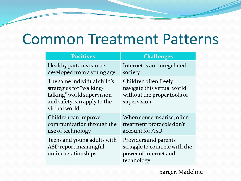## Common Treatment Patterns

| <b>Positives</b>                                                                                                                      | <b>Challenges</b>                                                                                  |
|---------------------------------------------------------------------------------------------------------------------------------------|----------------------------------------------------------------------------------------------------|
| Healthy patterns can be<br>developed from a young age                                                                                 | Internet is an unregulated<br>society                                                              |
| The same individual child's<br>strategies for "walking-<br>talking" world supervision<br>and safety can apply to the<br>virtual world | Children often freely<br>navigate this virtual world<br>without the proper tools or<br>supervision |
| Children can improve<br>communication through the<br>use of technology                                                                | When concerns arise, often<br>treatment protocols don't<br>account for ASD                         |
| Teens and young adults with<br>ASD report meaningful<br>online relationships                                                          | Providers and parents<br>struggle to compete with the<br>power of internet and<br>technology       |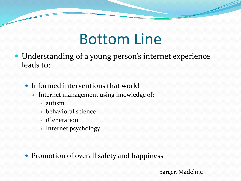## Bottom Line

- Understanding of a young person's internet experience leads to:
	- Informed interventions that work!
		- Internet management using knowledge of:
			- autism
			- behavioral science
			- iGeneration
			- Internet psychology

• Promotion of overall safety and happiness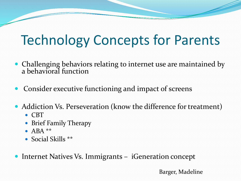## Technology Concepts for Parents

- Challenging behaviors relating to internet use are maintained by a behavioral function
- Consider executive functioning and impact of screens
- Addiction Vs. Perseveration (know the difference for treatment)
	- CBT
	- Brief Family Therapy
	- $\bullet$  ABA \*\*
	- Social Skills \*\*

Internet Natives Vs. Immigrants – iGeneration concept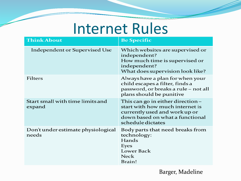#### Internet Rules

| <b>Think About</b>                          | <b>Be Specific</b>                                                                                                                                            |
|---------------------------------------------|---------------------------------------------------------------------------------------------------------------------------------------------------------------|
| Independent or Supervised Use               | Which websites are supervised or<br>independent?<br>How much time is supervised or<br>independent?<br>What does supervision look like?                        |
| <b>Filters</b>                              | Always have a plan for when your<br>child escapes a filter, finds a<br>password, or breaks a rule - not all<br>plans should be punitive                       |
| Start small with time limits and<br>expand  | This can go in either direction -<br>start with how much internet is<br>currently used and work up or<br>down based on what a functional<br>schedule dictates |
| Don't under estimate physiological<br>needs | Body parts that need breaks from<br>technology:<br>Hands<br>Eyes<br>Lower Back<br><b>Neck</b><br>Brain!                                                       |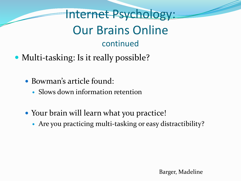Internet Psychology: Our Brains Online continued

- Multi-tasking: Is it really possible?
	- Bowman's article found:
		- Slows down information retention
	- Your brain will learn what you practice!
		- Are you practicing multi-tasking or easy distractibility?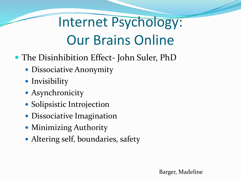# Internet Psychology: Our Brains Online

- The Disinhibition Effect- John Suler, PhD
	- Dissociative Anonymity
	- Invisibility
	- Asynchronicity
	- Solipsistic Introjection
	- Dissociative Imagination
	- Minimizing Authority
	- Altering self, boundaries, safety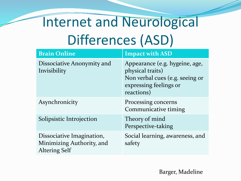# Internet and Neurological Differences (ASD)

| <b>Brain Online</b>                                                            | <b>Impact with ASD</b>                                                                                                        |
|--------------------------------------------------------------------------------|-------------------------------------------------------------------------------------------------------------------------------|
| Dissociative Anonymity and<br>Invisibility                                     | Appearance (e.g. hygeine, age,<br>physical traits)<br>Non verbal cues (e.g. seeing or<br>expressing feelings or<br>reactions) |
| Asynchronicity                                                                 | Processing concerns<br>Communicative timing                                                                                   |
| Solipsistic Introjection                                                       | Theory of mind<br>Perspective-taking                                                                                          |
| Dissociative Imagination,<br>Minimizing Authority, and<br><b>Altering Self</b> | Social learning, awareness, and<br>safety                                                                                     |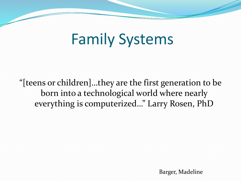## Family Systems

"[teens or children]…they are the first generation to be born into a technological world where nearly everything is computerized…" Larry Rosen, PhD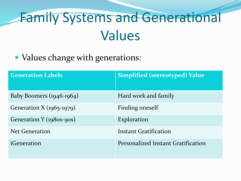# Family Systems and Generational Values

• Values change with generations:

| <b>Generation Labels</b>   | <b>Simplified (stereotyped) Value</b> |
|----------------------------|---------------------------------------|
| Baby Boomers $(1946-1964)$ | Hard work and family                  |
| Generation X (1965-1979)   | Finding oneself                       |
| Generation Y (1980s-90s)   | Exploration                           |
| <b>Net Generation</b>      | Instant Gratification                 |
| iGeneration                | Personalized Instant Gratification    |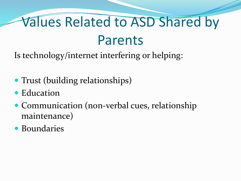# Values Related to ASD Shared by Parents

Is technology/internet interfering or helping:

- Trust (building relationships)
- Education
- Communication (non-verbal cues, relationship maintenance)
- Boundaries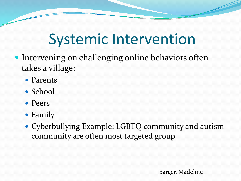## Systemic Intervention

- Intervening on challenging online behaviors often takes a village:
	- Parents
	- School
	- Peers
	- Family
	- Cyberbullying Example: LGBTQ community and autism community are often most targeted group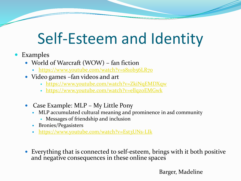## Self-Esteem and Identity

- Examples
	- World of Warcraft (WOW) fan fiction
		- https://www.youtube.com/watch?v=s810b56LR70
	- Video games –fan videos and art
		- <https://www.youtube.com/watch?v=ZkiNqEMDXqw>
		- https://www.youtube.com/watch?v=ellqzoEMGwk
	- Case Example: MLP My Little Pony
		- MLP accumulated cultural meaning and prominence in asd community
			- Messages of friendship and inclusion
		- Bronies/Pegasisters
		- <https://www.youtube.com/watch?v=Est3UNs-LIk>
	- Everything that is connected to self-esteem, brings with it both positive and negative consequences in these online spaces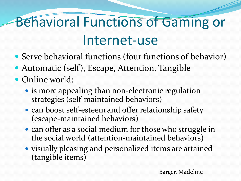# Behavioral Functions of Gaming or Internet-use

- Serve behavioral functions (four functions of behavior)
- Automatic (self), Escape, Attention, Tangible
- Online world:
	- is more appealing than non-electronic regulation strategies (self-maintained behaviors)
	- can boost self-esteem and offer relationship safety (escape-maintained behaviors)
	- can offer as a social medium for those who struggle in the social world (attention-maintained behaviors)
	- visually pleasing and personalized items are attained (tangible items)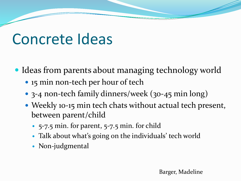#### Concrete Ideas

- Ideas from parents about managing technology world
	- 15 min non-tech per hour of tech
	- 3-4 non-tech family dinners/week (30-45 min long)
	- Weekly 10-15 min tech chats without actual tech present, between parent/child
		- 5-7.5 min. for parent, 5-7.5 min. for child
		- Talk about what's going on the individuals' tech world
		- Non-judgmental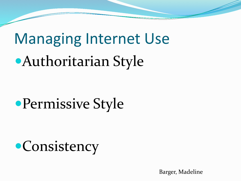# Managing Internet Use Authoritarian Style

# Permissive Style

**•Consistency**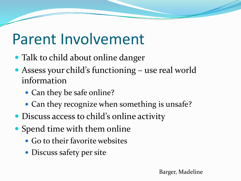## Parent Involvement

- Talk to child about online danger
- Assess your child's functioning use real world information
	- Can they be safe online?
	- Can they recognize when something is unsafe?
- Discuss access to child's online activity
- Spend time with them online
	- Go to their favorite websites
	- Discuss safety per site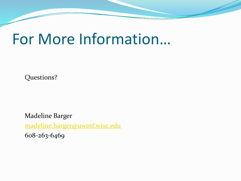#### For More Information…

Questions?

Madeline Barger [madeline.barger@uwmf.wisc.edu](mailto:madeline.barger@uwmf.wisc.edu) 608-263-6469